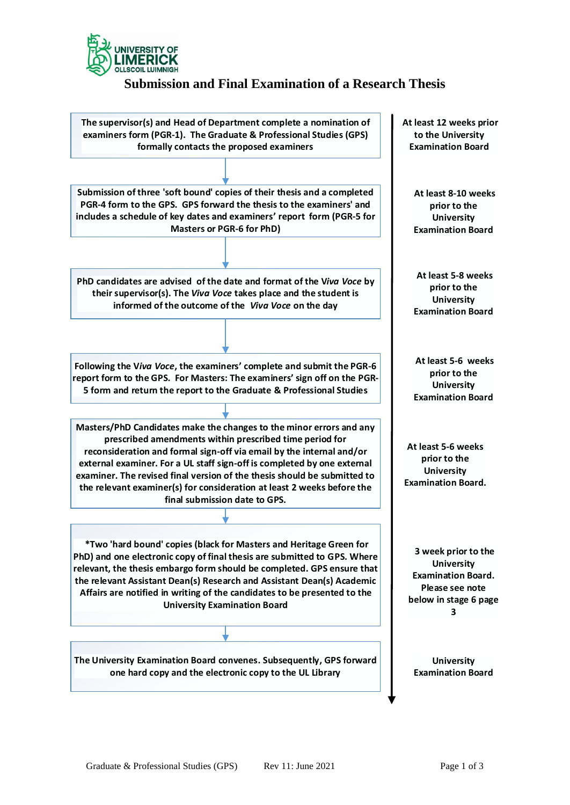

# **Submission and Final Examination of a Research Thesis**

**The supervisor(s) and Head of Department complete a nomination of examiners form (PGR-1). The Graduate & Professional Studies (GPS) formally contacts the proposed examiners Submission of three 'soft bound' copies of their thesis and a completed PGR-4 form to the GP S. GPS forward the thesis to the examiners' and includes a schedule of key dates and examiners report form (PGR-5 for Masters or PGR-6 for PhD) PhD candidates are advised of the date and format of the V***iva Voce* **by their supervisor(s). The** *Viva Voce* **takes place and the student is informed of the outcome of the** *Viva Voce* **on the day Following the V***iva Voce***, the examiners complete and submit the PGR-6 Following the Viva Voce, the examiners' complete and submit the PGR-6 report form to the GPS. For Masters: The examiners' sign off on the PGR-5 form and return the report to the Graduate & Professional Studies 5 form and return the report to the Graduate & Professional Studies Masters/PhD Candidates make the changes to the minor errors and any prescribed amendments within prescribed time period for reconsideration and formal sign-off via email by the internal and/or external examiner. For a UL staff sign-off is completed by one external examiner. The revised final version of the thesis should be submitted to the relevant examiner(s) for consideration at least 2 weeks before the final submission date to GPS.** 

**\*Two 'hard bound' copies (black for Masters and Heritage Green for PhD) and one electronic copies (black for Masters and Heritage Green for PhD) and one electronic copy of final thesis are submitted to GPS. Where relevant, the thesis embargo form should be completed. GPS ensure that \*Two 'hard bound' copies (black for Masters and Heritage Green for PhD) and one electronic copy of final thesis are submitted to GPS. Where relevant, the thesis embargo form should be completed. GPS ensure that the releva the relevant Assistant Dean(s) Research and Assistant Dean(s) Academic Affairs are notified in writing of the candidates to be presented to the University Examination Board** 

**The University Examination Board convenes. Subsequently, GPS forward one hard copy and the electronic copy to the UL Library**

**At least 12 weeks prior to the University Examination Board**

> **At least 8-10 weeks prior to the University Examination Board**

**At least 5-8 weeks prior to the University Examination Board**

**At least 5-6 weeks prior to the University Examination Board**

**At least 5-6 weeks prior to the University Examination Board.** 

**3 week prior to the University Examination Board. Please see note below in stage 6 page 3**

**University Examination Board**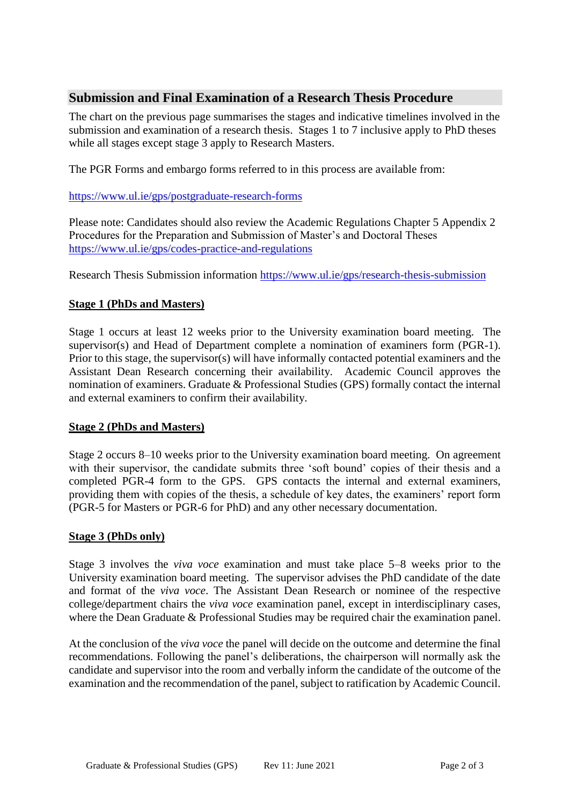## **Submission and Final Examination of a Research Thesis Procedure**

The chart on the previous page summarises the stages and indicative timelines involved in the submission and examination of a research thesis. Stages 1 to 7 inclusive apply to PhD theses while all stages except stage 3 apply to Research Masters.

The PGR Forms and embargo forms referred to in this process are available from:

<https://www.ul.ie/gps/postgraduate-research-forms>

Please note: Candidates should also review the Academic Regulations Chapter 5 Appendix 2 Procedures for the Preparation and Submission of Master's and Doctoral Theses <https://www.ul.ie/gps/codes-practice-and-regulations>

Research Thesis Submission information<https://www.ul.ie/gps/research-thesis-submission>

## **Stage 1 (PhDs and Masters)**

Stage 1 occurs at least 12 weeks prior to the University examination board meeting. The supervisor(s) and Head of Department complete a nomination of examiners form (PGR-1). Prior to this stage, the supervisor(s) will have informally contacted potential examiners and the Assistant Dean Research concerning their availability. Academic Council approves the nomination of examiners. Graduate & Professional Studies (GPS) formally contact the internal and external examiners to confirm their availability.

#### **Stage 2 (PhDs and Masters)**

Stage 2 occurs 8–10 weeks prior to the University examination board meeting. On agreement with their supervisor, the candidate submits three 'soft bound' copies of their thesis and a completed PGR-4 form to the GPS. GPS contacts the internal and external examiners, providing them with copies of the thesis, a schedule of key dates, the examiners' report form (PGR-5 for Masters or PGR-6 for PhD) and any other necessary documentation.

#### **Stage 3 (PhDs only)**

Stage 3 involves the *viva voce* examination and must take place 5–8 weeks prior to the University examination board meeting. The supervisor advises the PhD candidate of the date and format of the *viva voce*. The Assistant Dean Research or nominee of the respective college/department chairs the *viva voce* examination panel, except in interdisciplinary cases, where the Dean Graduate & Professional Studies may be required chair the examination panel.

At the conclusion of the *viva voce* the panel will decide on the outcome and determine the final recommendations. Following the panel's deliberations, the chairperson will normally ask the candidate and supervisor into the room and verbally inform the candidate of the outcome of the examination and the recommendation of the panel, subject to ratification by Academic Council.